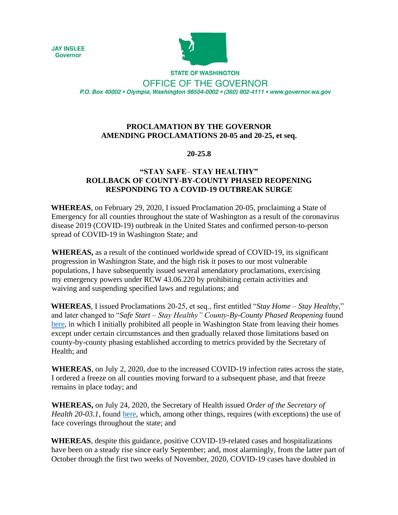**JAY INSLEE Governor** 



**STATE OF WASHINGTON** OFFICE OF THE GOVERNOR P.O. Box 40002 · Olympia, Washington 98504-0002 · (360) 902-4111 · www.governor.wa.gov

## **PROCLAMATION BY THE GOVERNOR AMENDING PROCLAMATIONS 20-05 and 20-25, et seq.**

## **20-25.8**

## **"STAY SAFE**– **STAY HEALTHY" ROLLBACK OF COUNTY-BY-COUNTY PHASED REOPENING RESPONDING TO A COVID-19 OUTBREAK SURGE**

**WHEREAS**, on February 29, 2020, I issued Proclamation 20-05, proclaiming a State of Emergency for all counties throughout the state of Washington as a result of the coronavirus disease 2019 (COVID-19) outbreak in the United States and confirmed person-to-person spread of COVID-19 in Washington State; and

**WHEREAS,** as a result of the continued worldwide spread of COVID-19, its significant progression in Washington State, and the high risk it poses to our most vulnerable populations, I have subsequently issued several amendatory proclamations, exercising my emergency powers under RCW 43.06.220 by prohibiting certain activities and waiving and suspending specified laws and regulations; and

**WHEREAS**, I issued Proclamations 20-25, et seq., first entitled "*Stay Home – Stay Healthy*," and later changed to "*Safe Start – Stay Healthy" County-By-County Phased Reopening* found [here,](https://www.governor.wa.gov/sites/default/files/SafeStartPhasedReopening.pdf) in which I initially prohibited all people in Washington State from leaving their homes except under certain circumstances and then gradually relaxed those limitations based on county-by-county phasing established according to metrics provided by the Secretary of Health; and

**WHEREAS**, on July 2, 2020, due to the increased COVID-19 infection rates across the state, I ordered a freeze on all counties moving forward to a subsequent phase, and that freeze remains in place today; and

**WHEREAS,** on July 24, 2020, the Secretary of Health issued *Order of the Secretary of Health 20-03.1*, found [here,](https://www.doh.wa.gov/Portals/1/Documents/1600/coronavirus/Secretary_of_Health_Order_20-03_Statewide_Face_Coverings.pdf) which, among other things, requires (with exceptions) the use of face coverings throughout the state; and

**WHEREAS**, despite this guidance, positive COVID-19-related cases and hospitalizations have been on a steady rise since early September; and, most alarmingly, from the latter part of October through the first two weeks of November, 2020, COVID-19 cases have doubled in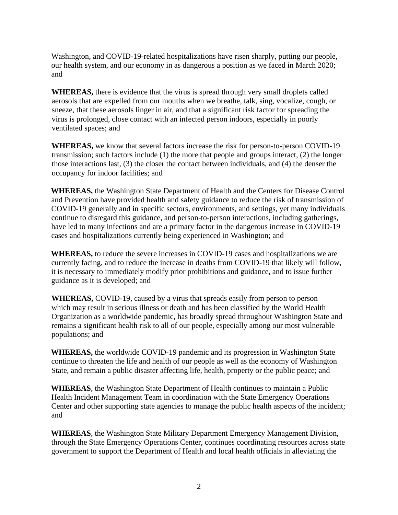Washington, and COVID-19-related hospitalizations have risen sharply, putting our people, our health system, and our economy in as dangerous a position as we faced in March 2020; and

**WHEREAS,** there is evidence that the virus is spread through very small droplets called aerosols that are expelled from our mouths when we breathe, talk, sing, vocalize, cough, or sneeze, that these aerosols linger in air, and that a significant risk factor for spreading the virus is prolonged, close contact with an infected person indoors, especially in poorly ventilated spaces; and

**WHEREAS,** we know that several factors increase the risk for person-to-person COVID-19 transmission; such factors include (1) the more that people and groups interact, (2) the longer those interactions last, (3) the closer the contact between individuals, and (4) the denser the occupancy for indoor facilities; and

**WHEREAS,** the Washington State Department of Health and the Centers for Disease Control and Prevention have provided health and safety guidance to reduce the risk of transmission of COVID-19 generally and in specific sectors, environments, and settings, yet many individuals continue to disregard this guidance, and person-to-person interactions, including gatherings, have led to many infections and are a primary factor in the dangerous increase in COVID-19 cases and hospitalizations currently being experienced in Washington; and

**WHEREAS,** to reduce the severe increases in COVID-19 cases and hospitalizations we are currently facing, and to reduce the increase in deaths from COVID-19 that likely will follow, it is necessary to immediately modify prior prohibitions and guidance, and to issue further guidance as it is developed; and

**WHEREAS,** COVID-19, caused by a virus that spreads easily from person to person which may result in serious illness or death and has been classified by the World Health Organization as a worldwide pandemic, has broadly spread throughout Washington State and remains a significant health risk to all of our people, especially among our most vulnerable populations; and

**WHEREAS,** the worldwide COVID-19 pandemic and its progression in Washington State continue to threaten the life and health of our people as well as the economy of Washington State, and remain a public disaster affecting life, health, property or the public peace; and

**WHEREAS**, the Washington State Department of Health continues to maintain a Public Health Incident Management Team in coordination with the State Emergency Operations Center and other supporting state agencies to manage the public health aspects of the incident; and

**WHEREAS**, the Washington State Military Department Emergency Management Division, through the State Emergency Operations Center, continues coordinating resources across state government to support the Department of Health and local health officials in alleviating the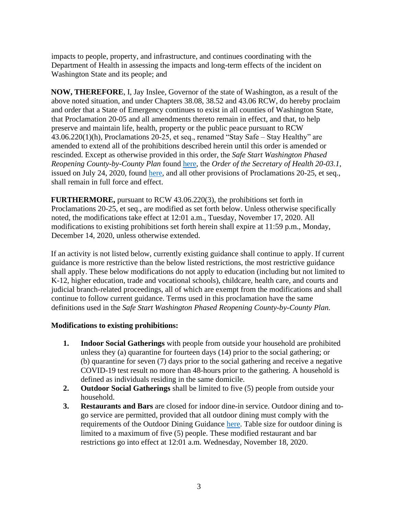impacts to people, property, and infrastructure, and continues coordinating with the Department of Health in assessing the impacts and long-term effects of the incident on Washington State and its people; and

**NOW, THEREFORE**, I, Jay Inslee, Governor of the state of Washington, as a result of the above noted situation, and under Chapters 38.08, 38.52 and 43.06 RCW, do hereby proclaim and order that a State of Emergency continues to exist in all counties of Washington State, that Proclamation 20-05 and all amendments thereto remain in effect, and that, to help preserve and maintain life, health, property or the public peace pursuant to RCW 43.06.220(1)(h), Proclamations 20-25, et seq., renamed "Stay Safe – Stay Healthy" are amended to extend all of the prohibitions described herein until this order is amended or rescinded. Except as otherwise provided in this order, the *Safe Start Washington Phased Reopening County-by-County Plan* found [here,](https://www.governor.wa.gov/sites/default/files/SafeStartPhasedReopening.pdf) the *Order of the Secretary of Health 20-03.1*, issued on July 24, 2020, found [here,](https://www.doh.wa.gov/Portals/1/Documents/1600/coronavirus/Secretary_of_Health_Order_20-03_Statewide_Face_Coverings.pdf) and all other provisions of Proclamations 20-25, et seq., shall remain in full force and effect.

**FURTHERMORE,** pursuant to RCW 43.06.220(3), the prohibitions set forth in Proclamations 20-25, et seq., are modified as set forth below. Unless otherwise specifically noted, the modifications take effect at 12:01 a.m., Tuesday, November 17, 2020. All modifications to existing prohibitions set forth herein shall expire at 11:59 p.m., Monday, December 14, 2020, unless otherwise extended.

If an activity is not listed below, currently existing guidance shall continue to apply. If current guidance is more restrictive than the below listed restrictions, the most restrictive guidance shall apply. These below modifications do not apply to education (including but not limited to K-12, higher education, trade and vocational schools), childcare, health care, and courts and judicial branch-related proceedings, all of which are exempt from the modifications and shall continue to follow current guidance. Terms used in this proclamation have the same definitions used in the *Safe Start Washington Phased Reopening County-by-County Plan.*

## **Modifications to existing prohibitions:**

- **1. Indoor Social Gatherings** with people from outside your household are prohibited unless they (a) quarantine for fourteen days (14) prior to the social gathering; or (b) quarantine for seven (7) days prior to the social gathering and receive a negative COVID-19 test result no more than 48-hours prior to the gathering. A household is defined as individuals residing in the same domicile.
- **2. Outdoor Social Gatherings** shall be limited to five (5) people from outside your household.
- **3. Restaurants and Bars** are closed for indoor dine-in service. Outdoor dining and togo service are permitted, provided that all outdoor dining must comply with the requirements of the Outdoor Dining Guidance [here.](https://www.governor.wa.gov/sites/default/files/Requirements%20for%20Outdoor%20Seating%2011-15-20.pdf) Table size for outdoor dining is limited to a maximum of five (5) people. These modified restaurant and bar restrictions go into effect at 12:01 a.m. Wednesday, November 18, 2020.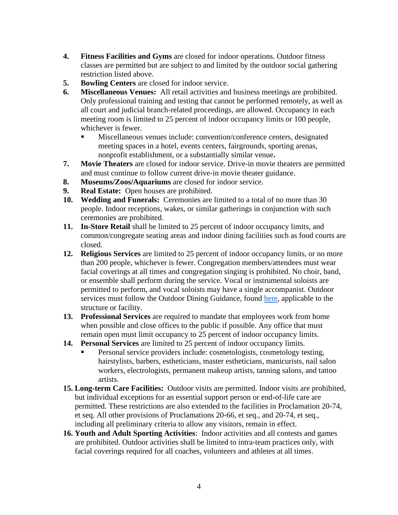- **4. Fitness Facilities and Gyms** are closed for indoor operations. Outdoor fitness classes are permitted but are subject to and limited by the outdoor social gathering restriction listed above.
- **5. Bowling Centers** are closed for indoor service.
- **6. Miscellaneous Venues:** All retail activities and business meetings are prohibited. Only professional training and testing that cannot be performed remotely, as well as all court and judicial branch-related proceedings, are allowed. Occupancy in each meeting room is limited to 25 percent of indoor occupancy limits or 100 people, whichever is fewer.
	- Miscellaneous venues include: convention/conference centers, designated meeting spaces in a hotel, events centers, fairgrounds, sporting arenas, nonprofit establishment, or a substantially similar venue**.**
- **7. Movie Theaters** are closed for indoor service. Drive-in movie theaters are permitted and must continue to follow current drive-in movie theater guidance.
- **8. Museums/Zoos/Aquariums** are closed for indoor service.
- **9. Real Estate:** Open houses are prohibited.
- **10. Wedding and Funerals:** Ceremonies are limited to a total of no more than 30 people. Indoor receptions, wakes, or similar gatherings in conjunction with such ceremonies are prohibited.
- **11. In-Store Retail** shall be limited to 25 percent of indoor occupancy limits, and common/congregate seating areas and indoor dining facilities such as food courts are closed.
- **12. Religious Services** are limited to 25 percent of indoor occupancy limits, or no more than 200 people, whichever is fewer. Congregation members/attendees must wear facial coverings at all times and congregation singing is prohibited. No choir, band, or ensemble shall perform during the service. Vocal or instrumental soloists are permitted to perform, and vocal soloists may have a single accompanist. Outdoor services must follow the Outdoor Dining Guidance, found [here,](https://www.governor.wa.gov/sites/default/files/Requirements%20for%20Outdoor%20Seating%2011-15-20.pdf) applicable to the structure or facility.
- **13. Professional Services** are required to mandate that employees work from home when possible and close offices to the public if possible. Any office that must remain open must limit occupancy to 25 percent of indoor occupancy limits.
- **14. Personal Services** are limited to 25 percent of indoor occupancy limits.
	- Personal service providers include: cosmetologists, cosmetology testing, hairstylists, barbers, estheticians, master estheticians, manicurists, nail salon workers, electrologists, permanent makeup artists, tanning salons, and tattoo artists.
- **15. Long-term Care Facilities:** Outdoor visits are permitted. Indoor visits are prohibited, but individual exceptions for an essential support person or end-of-life care are permitted. These restrictions are also extended to the facilities in Proclamation 20-74, et seq. All other provisions of Proclamations 20-66, et seq., and 20-74, et seq., including all preliminary criteria to allow any visitors, remain in effect.
- **16. Youth and Adult Sporting Activities**: Indoor activities and all contests and games are prohibited. Outdoor activities shall be limited to intra-team practices only, with facial coverings required for all coaches, volunteers and athletes at all times.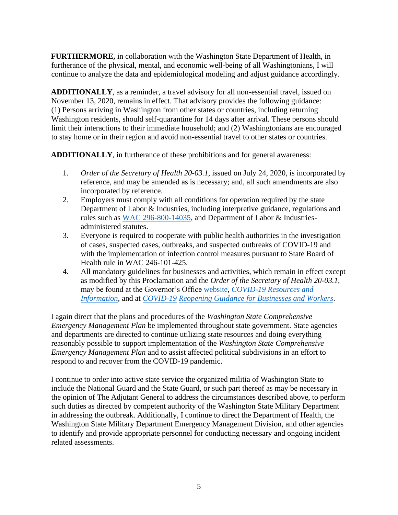**FURTHERMORE,** in collaboration with the Washington State Department of Health, in furtherance of the physical, mental, and economic well-being of all Washingtonians, I will continue to analyze the data and epidemiological modeling and adjust guidance accordingly.

**ADDITIONALLY**, as a reminder, a travel advisory for all non-essential travel, issued on November 13, 2020, remains in effect. That advisory provides the following guidance: (1) Persons arriving in Washington from other states or countries, including returning Washington residents, should self-quarantine for 14 days after arrival. These persons should limit their interactions to their immediate household; and (2) Washingtonians are encouraged to stay home or in their region and avoid non-essential travel to other states or countries.

**ADDITIONALLY**, in furtherance of these prohibitions and for general awareness:

- 1. *Order of the Secretary of Health 20-03.1*, issued on July 24, 2020, is incorporated by reference, and may be amended as is necessary; and, all such amendments are also incorporated by reference.
- 2. Employers must comply with all conditions for operation required by the state Department of Labor & Industries, including interpretive guidance, regulations and rules such as [WAC 296-800-14035,](https://www.lni.wa.gov/safety-health/safety-rules/chapter-pdfs/WAC296-800.pdf) and Department of Labor & Industriesadministered statutes.
- 3. Everyone is required to cooperate with public health authorities in the investigation of cases, suspected cases, outbreaks, and suspected outbreaks of COVID-19 and with the implementation of infection control measures pursuant to State Board of Health rule in WAC 246-101-425.
- 4. All mandatory guidelines for businesses and activities, which remain in effect except as modified by this Proclamation and the *Order of the Secretary of Health 20-03.1*, may be found at the Governor's Office [website,](https://www.governor.wa.gov/) *[COVID-19 Resources and](https://www.governor.wa.gov/issues/issues/covid-19-resources)  [Information](https://www.governor.wa.gov/issues/issues/covid-19-resources)*[,](https://www.governor.wa.gov/issues/issues/covid-19-resources) and at *[COVID-19](https://www.governor.wa.gov/issues/issues/covid-19-resources/covid-19-reopening-guidance-businesses-and-workers) [Reopening Guidance for Businesses and Workers](https://www.governor.wa.gov/issues/issues/covid-19-resources/covid-19-reopening-guidance-businesses-and-workers)*[.](https://www.governor.wa.gov/issues/issues/covid-19-resources/covid-19-reopening-guidance-businesses-and-workers)

I again direct that the plans and procedures of the *Washington State Comprehensive Emergency Management Plan* be implemented throughout state government. State agencies and departments are directed to continue utilizing state resources and doing everything reasonably possible to support implementation of the *Washington State Comprehensive Emergency Management Plan* and to assist affected political subdivisions in an effort to respond to and recover from the COVID-19 pandemic.

I continue to order into active state service the organized militia of Washington State to include the National Guard and the State Guard, or such part thereof as may be necessary in the opinion of The Adjutant General to address the circumstances described above, to perform such duties as directed by competent authority of the Washington State Military Department in addressing the outbreak. Additionally, I continue to direct the Department of Health, the Washington State Military Department Emergency Management Division, and other agencies to identify and provide appropriate personnel for conducting necessary and ongoing incident related assessments.